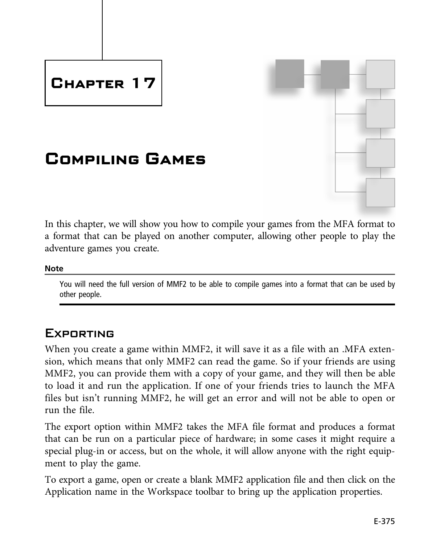# **Chapter 17**

# **Compiling Games**



In this chapter, we will show you how to compile your games from the MFA format to a format that can be played on another computer, allowing other people to play the adventure games you create.

### **Note Note**

You will need the full version of MMF2 to be able to compile games into a format that can be used by other people.

## Exporting

When you create a game within MMF2, it will save it as a file with an .MFA extension, which means that only MMF2 can read the game. So if your friends are using MMF2, you can provide them with a copy of your game, and they will then be able to load it and run the application. If one of your friends tries to launch the MFA files but isn't running MMF2, he will get an error and will not be able to open or run the file.

The export option within MMF2 takes the MFA file format and produces a format that can be run on a particular piece of hardware; in some cases it might require a special plug-in or access, but on the whole, it will allow anyone with the right equipment to play the game.

To export a game, open or create a blank MMF2 application file and then click on the Application name in the Workspace toolbar to bring up the application properties.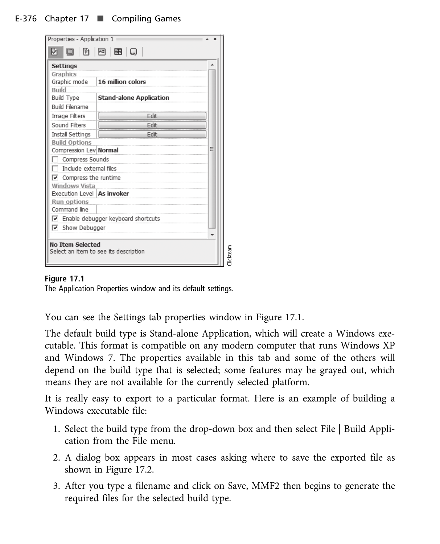### E-376 Chapter 17  $\blacksquare$  Compiling Games

| Settings                      | <u> 1999 - Johann Stoff, Amerikaansk ferstjer op de foarmen it ferstjer op de foarmen it ferstjer op de foarmen i</u> |   |
|-------------------------------|-----------------------------------------------------------------------------------------------------------------------|---|
| Graphics                      |                                                                                                                       |   |
| Graphic mode                  | 16 million colors                                                                                                     |   |
| <b>Build</b>                  |                                                                                                                       |   |
|                               | Build Type Stand-alone Application                                                                                    |   |
| <b>Build Filename</b>         |                                                                                                                       |   |
| Image Filters                 | Edit                                                                                                                  |   |
| Sound Filters                 | Edit                                                                                                                  |   |
| Install Settings              | Edit                                                                                                                  |   |
| <b>Build Options</b>          |                                                                                                                       | Ξ |
| Compression Lev Normal        |                                                                                                                       |   |
| Compress Sounds               |                                                                                                                       |   |
| $\top$ Include external files |                                                                                                                       |   |
|                               | V Compress the runtime                                                                                                |   |
| Windows Vista                 |                                                                                                                       |   |
| Execution Level   As invoker  |                                                                                                                       |   |
| Run options<br>Command line   |                                                                                                                       |   |
|                               | V Enable debugger keyboard shortcuts                                                                                  |   |
| <b>▽</b> Show Debugger        |                                                                                                                       |   |
|                               |                                                                                                                       |   |
| <b>No Item Selected</b>       |                                                                                                                       |   |
|                               | Select an item to see its description                                                                                 |   |
|                               |                                                                                                                       |   |

You can see the Settings tab properties window in Figure 17.1.

The default build type is Stand-alone Application, which will create a Windows executable. This format is compatible on any modern computer that runs Windows XP and Windows 7. The properties available in this tab and some of the others will depend on the build type that is selected; some features may be grayed out, which means they are not available for the currently selected platform.

It is really easy to export to a particular format. Here is an example of building a Windows executable file:

- 1. Select the build type from the drop-down box and then select File | Build Application from the File menu.
- 2. A dialog box appears in most cases asking where to save the exported file as shown in Figure 17.2.
- 3. After you type a filename and click on Save, MMF2 then begins to generate the required files for the selected build type.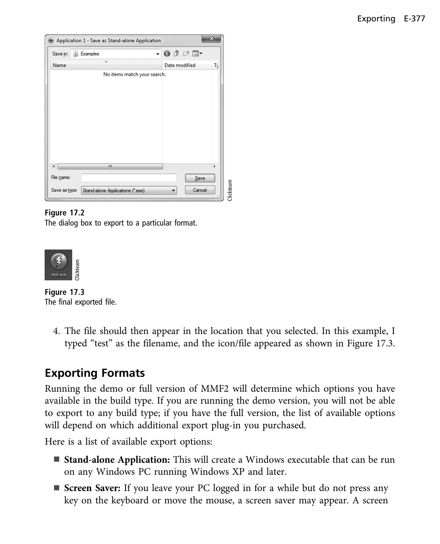

**Figure 17.2** The dialog box to export to a particular format.



Figure 17.3<br>
The final exported file.

4. The file should then appear in the location that you selected. In this example, I typed "test" as the filename, and the icon/file appeared as shown in Figure 17.3.

Running the demo or full version of MMF2 will determine which options you have available in the build type. If you are running the demo version, you will not be able to export to any build type; if you have the full version, the list of available options will depend on which additional export plug-in you purchased.

Here is a list of available export options:

- **Stand-alone Application:** This will create a Windows executable that can be run on any Windows PC running Windows XP and later.
- **Screen Saver:** If you leave your PC logged in for a while but do not press any key on the keyboard or move the mouse, a screen saver may appear. A screen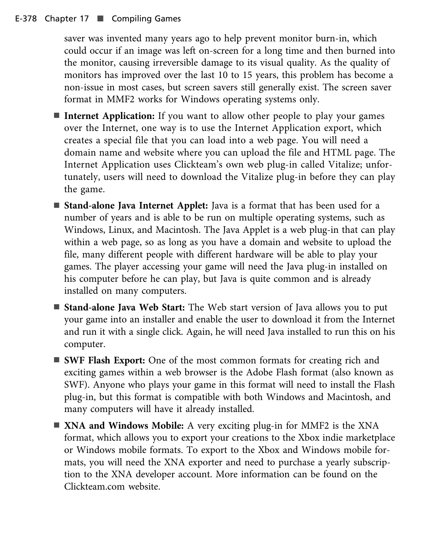saver was invented many years ago to help prevent monitor burn-in, which could occur if an image was left on-screen for a long time and then burned into the monitor, causing irreversible damage to its visual quality. As the quality of monitors has improved over the last 10 to 15 years, this problem has become a non-issue in most cases, but screen savers still generally exist. The screen saver format in MMF2 works for Windows operating systems only.

- **Internet Application:** If you want to allow other people to play your games over the Internet, one way is to use the Internet Application export, which creates a special file that you can load into a web page. You will need a domain name and website where you can upload the file and HTML page. The Internet Application uses Clickteam's own web plug-in called Vitalize; unfortunately, users will need to download the Vitalize plug-in before they can play the game.
- **Stand-alone Java Internet Applet:** Java is a format that has been used for a number of years and is able to be run on multiple operating systems, such as Windows, Linux, and Macintosh. The Java Applet is a web plug-in that can play within a web page, so as long as you have a domain and website to upload the file, many different people with different hardware will be able to play your games. The player accessing your game will need the Java plug-in installed on his computer before he can play, but Java is quite common and is already installed on many computers.
- **Stand-alone Java Web Start:** The Web start version of Java allows you to put your game into an installer and enable the user to download it from the Internet and run it with a single click. Again, he will need Java installed to run this on his computer.
- **SWF Flash Export:** One of the most common formats for creating rich and exciting games within a web browser is the Adobe Flash format (also known as SWF). Anyone who plays your game in this format will need to install the Flash plug-in, but this format is compatible with both Windows and Macintosh, and many computers will have it already installed.
- XNA and Windows Mobile: A very exciting plug-in for MMF2 is the XNA format, which allows you to export your creations to the Xbox indie marketplace or Windows mobile formats. To export to the Xbox and Windows mobile formats, you will need the XNA exporter and need to purchase a yearly subscription to the XNA developer account. More information can be found on the Clickteam.com website.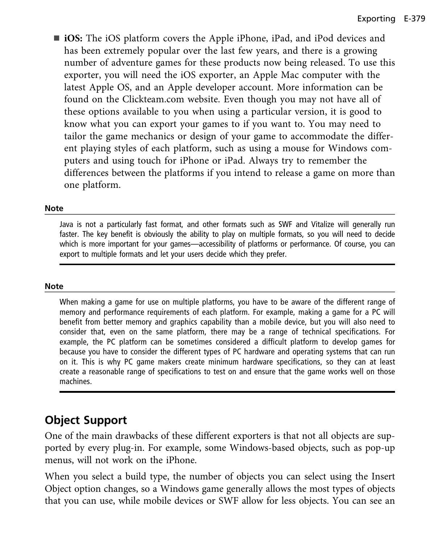■ **iOS:** The iOS platform covers the Apple iPhone, iPad, and iPod devices and has been extremely popular over the last few years, and there is a growing number of adventure games for these products now being released. To use this exporter, you will need the iOS exporter, an Apple Mac computer with the latest Apple OS, and an Apple developer account. More information can be found on the Clickteam.com website. Even though you may not have all of these options available to you when using a particular version, it is good to know what you can export your games to if you want to. You may need to tailor the game mechanics or design of your game to accommodate the different playing styles of each platform, such as using a mouse for Windows computers and using touch for iPhone or iPad. Always try to remember the differences between the platforms if you intend to release a game on more than one platform.

### **Note Note**

Java is not a particularly fast format, and other formats such as SWF and Vitalize will generally run faster. The key benefit is obviously the ability to play on multiple formats, so you will need to decide which is more important for your games—accessibility of platforms or performance. Of course, you can export to multiple formats and let your users decide which they prefer.

## **Note**

When making a game for use on multiple platforms, you have to be aware of the different range of memory and performance requirements of each platform. For example, making a game for a PC will benefit from better memory and graphics capability than a mobile device, but you will also need to consider that, even on the same platform, there may be a range of technical specifications. For example, the PC platform can be sometimes considered a difficult platform to develop games for because you have to consider the different types of PC hardware and operating systems that can run on it. This is why PC game makers create minimum hardware specifications, so they can at least create a reasonable range of specifications to test on and ensure that the game works well on those machines.

One of the main drawbacks of these different exporters is that not all objects are supported by every plug-in. For example, some Windows-based objects, such as pop-up menus, will not work on the iPhone.

When you select a build type, the number of objects you can select using the Insert Object option changes, so a Windows game generally allows the most types of objects that you can use, while mobile devices or SWF allow for less objects. You can see an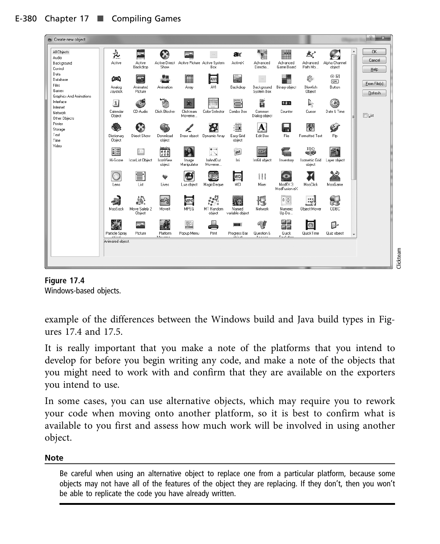| Create new object                                             |                                                                                                                         |                                     |                                                    |                                     |                                               |                                          |                                     |                                                                                                                                                                                                                                                                                                                                                                                     |                                             |                                  |   | 2 <br>$\mathbf{X}$          |
|---------------------------------------------------------------|-------------------------------------------------------------------------------------------------------------------------|-------------------------------------|----------------------------------------------------|-------------------------------------|-----------------------------------------------|------------------------------------------|-------------------------------------|-------------------------------------------------------------------------------------------------------------------------------------------------------------------------------------------------------------------------------------------------------------------------------------------------------------------------------------------------------------------------------------|---------------------------------------------|----------------------------------|---|-----------------------------|
| All Objects<br>Audio<br>Background<br>Control                 | 凫<br>Active                                                                                                             | Active<br>Backdrop                  | €3<br>Active Direct<br>Show                        |                                     | $\sim$<br>Active Picture Active System<br>Box | аĸ<br>ActiveX                            | 概<br>群<br>Advanced<br>Directio      | Advanced<br>Game Board                                                                                                                                                                                                                                                                                                                                                              | Âť<br>Advanced<br>Path Mo                   | alpha<br>Alpha Channel<br>object |   | <b>OK</b><br>Cancel<br>Help |
| Data<br>Database<br>Files<br>Games<br>Graphics And Animations | œ<br>Analog<br>Joystick                                                                                                 | Animated<br>Picture                 | 98<br>Animation                                    | illing<br>1<br>Array                | AVI<br>AVI                                    | $\overline{\mathcal{P}}$<br>Backdrop     | m.<br>Background<br>System Box      | Binary object                                                                                                                                                                                                                                                                                                                                                                       | 9<br><b>Blowfish</b><br>Object              | ⊙ ☑<br>$\sqrt{a}$<br>Button      |   | From File(s)<br>Refresh     |
| Interface<br>Internet<br>Network<br>Other Objects             | 1<br>Calendar<br>Object                                                                                                 | CD-Audio                            | $\rightarrow$<br>Click Blocker                     | 金<br>Clickteam<br>Moveme            | Color Selector                                | Combo Box                                | D.<br>e<br>Common<br>Dialog object  | 12a<br>Counter                                                                                                                                                                                                                                                                                                                                                                      | R.<br>Cursor                                | Date & Time                      | Ξ | $\Box$ List                 |
| Printer<br>Storage<br>Text<br>Time<br>Video                   | Dictionary<br>Object                                                                                                    | Direct Show                         | Download<br>object                                 | Draw object                         | 8<br>Dynamic Array                            | 10355<br>:m<br>Easy Grid<br>object       | $\overline{\mathbf{A}}$<br>Edit Box | File                                                                                                                                                                                                                                                                                                                                                                                | $\mathbf{e}$<br>Formatted Text              | E<br>Ftp                         |   |                             |
|                                                               | $\begin{array}{ c c } \hline 0 & 1334 \\ \hline 0 & 1334 \\ \bullet & \bullet & \bullet \end{array}$<br><b>Hi-Score</b> | $rac{1}{\sigma}$<br>IconList Object | icon view<br>200<br>IconView<br>object             | A<br>Image<br>Manipulator           | $\leftrightarrow$<br>↳↘<br>InAndOut<br>Moveme | $\overline{N}$<br>Ini                    | nt64<br>Int64 object                | Inventory                                                                                                                                                                                                                                                                                                                                                                           | ISO<br>۲<br><b>Isometric Grid</b><br>object | Layer object                     |   |                             |
|                                                               | Lens                                                                                                                    | f<br>List                           | ۰<br>Lives                                         | $\blacksquare$<br>Lua object        | 嘯<br>MagicDeque                               | MCI<br>MCI                               | ĦИ<br>Mixer                         | o<br>ModFX3:<br>ModFusion eX                                                                                                                                                                                                                                                                                                                                                        | MooClick                                    | MooGame                          |   |                             |
|                                                               | MooSock                                                                                                                 | 藝<br>Move Safely 2<br>Object        | dr<br>Movelt                                       | MPG<br><b>MPEG</b>                  | $\cdot$<br><b>PATT</b><br>MT Random<br>object | $\sqrt{2}$<br>Named<br>variable object   | 恨<br>Network.                       | $\begin{picture}(20,5) \put(0,0) {\line(0,1){10}} \put(15,0) {\line(0,1){10}} \put(15,0) {\line(0,1){10}} \put(15,0) {\line(0,1){10}} \put(15,0) {\line(0,1){10}} \put(15,0) {\line(0,1){10}} \put(15,0) {\line(0,1){10}} \put(15,0) {\line(0,1){10}} \put(15,0) {\line(0,1){10}} \put(15,0) {\line(0,1){10}} \put(15,0) {\line(0,1){10}} \put(15,0) {\line(0,$<br>Numeric<br>Up-Do | <u> 대</u><br>Object Mover                   | र ।<br><b>DDBC</b>               |   |                             |
|                                                               | Particle Spray<br>Animated object.                                                                                      | $\overline{\phantom{a}}$<br>Picture | $\mathbb{G}$<br>あいる<br>Platform<br><b>Machines</b> | $\frac{200\%}{500\%}$<br>Popup Menu | Print                                         | <b>THEFT</b><br>Progress Bar<br>Julia ak | $\mathbb{Q}$<br>Question &          | 43 43<br>$-1$<br>Quick<br>Double dealer                                                                                                                                                                                                                                                                                                                                             | $\odot$<br>QuickTime                        | ßŀ<br>Quiz object                |   |                             |
|                                                               |                                                                                                                         |                                     |                                                    |                                     |                                               |                                          |                                     |                                                                                                                                                                                                                                                                                                                                                                                     |                                             |                                  |   |                             |



example of the differences between the Windows build and Java build types in Figures 17.4 and 17.5.

It is really important that you make a note of the platforms that you intend to develop for before you begin writing any code, and make a note of the objects that you might need to work with and confirm that they are available on the exporters you intend to use.

In some cases, you can use alternative objects, which may require you to rework your code when moving onto another platform, so it is best to confirm what is available to you first and assess how much work will be involved in using another object.

## **Note**

Be careful when using an alternative object to replace one from a particular platform, because some objects may not have all of the features of the object they are replacing. If they don't, then you won't be able to replicate the code you have already written.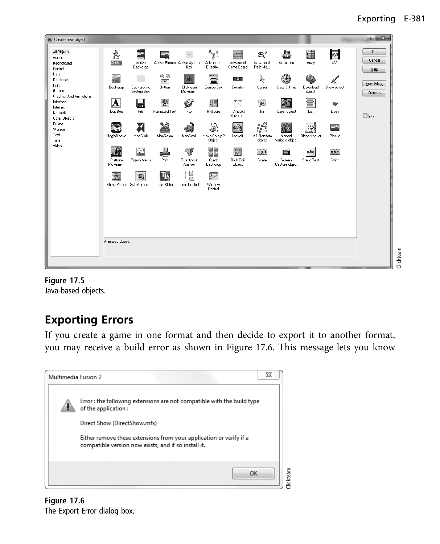| Create new object                                             |                                 |                                                  |                                                  |                            |                                                                                                                        |                                                    |                                              |                                        |                                 |               | ? X                     |
|---------------------------------------------------------------|---------------------------------|--------------------------------------------------|--------------------------------------------------|----------------------------|------------------------------------------------------------------------------------------------------------------------|----------------------------------------------------|----------------------------------------------|----------------------------------------|---------------------------------|---------------|-------------------------|
| All Objects<br>Audio<br>Background<br>Control                 | 哀<br>Active                     | Active<br>Backdrop                               | بغريد<br>Active Picture Active System            | Box                        | 相關<br>▓<br>Advanced<br>Directio                                                                                        | $\overline{\phantom{a}}$<br>Advanced<br>Game Board | Å.,<br>Advanced<br>Path Mo                   | <u>98</u><br><b>Animation</b>          | and a series<br>Array           | AVI<br>AVI    | OK.<br>Cancel<br>Help   |
| Data<br>Database<br>Files<br>Games<br>Graphics And Animations | 20<br>Backdrop                  | $\ddot{\phantom{a}}$<br>Background<br>System Box | $\odot$ $\nabla$<br>$\sqrt{2K}$<br><b>Button</b> | Ś.<br>Clickteam<br>Moveme  | Ë<br>Combo Box                                                                                                         | 123<br>Counter                                     | D.<br>Cursor                                 | Date & Time                            | Download<br>object              | Draw object   | From File(s)<br>Refresh |
| Interface<br>Internet<br>Network<br>Other Objects             | ${\bf A}^{\dagger}$<br>Edit Box | m<br>File                                        | $\mathcal{L}^b$<br>Formatted Text                | <b>SEP</b><br>Ftp          | $\begin{array}{ l l }\hline 00 & 1234 \\ \hline 10 & 1234 \\ \hline 00 & 224 \\ \hline \end{array}$<br><b>Hi-Score</b> | $\rightarrow$<br>$\sqrt{ }$<br>InAndOut<br>Moveme  | $\overline{\mathsf{IN}^{\mathsf{I}}}$<br>Ini | Layer object                           | E<br>List                       | v<br>Lives    | $\Box$ List             |
| Printer<br>Storage<br>Text<br>Time<br>Video                   | 匾<br>MagicDeque                 | MooClick                                         | MooGame                                          | MooSock                    | 藝<br>Move Safely 2<br>Object                                                                                           | an<br>Movelt                                       | 3월<br>S.<br>MT Random<br>object              | Named<br>variable object               | 0.000<br>in Kuj<br>Object Mover | u.<br>Picture |                         |
|                                                               | 风い<br>Platform<br>Moveme        | 譯<br>Popup Menu                                  | Print                                            | 44<br>Question &<br>Answer | فعالمه<br>刷刷<br>Quick<br>Backdrop                                                                                      | Rich<br>Edit<br>Rich Edit<br>Object                | $12^{3}$<br>Score                            | <b>TØT</b><br>Screen<br>Capture object | abc<br>Static Text              | abc<br>String |                         |
|                                                               | String Parser                   | í,<br>Sub-Applica                                | TB<br>Text Blitter                               | ٠<br>ā<br>Tree Control     | $\overline{1} \times$<br>Window<br>Control                                                                             |                                                    |                                              |                                        |                                 |               |                         |
|                                                               |                                 |                                                  |                                                  |                            |                                                                                                                        |                                                    |                                              |                                        |                                 |               |                         |
|                                                               | Animated object.                |                                                  |                                                  |                            |                                                                                                                        |                                                    |                                              |                                        |                                 |               |                         |
|                                                               |                                 |                                                  |                                                  |                            |                                                                                                                        |                                                    |                                              |                                        |                                 |               |                         |



If you create a game in one format and then decide to export it to another format, you may receive a build error as shown in Figure 17.6. This message lets you know



**Figure 17.6** The Export Error dialog box.